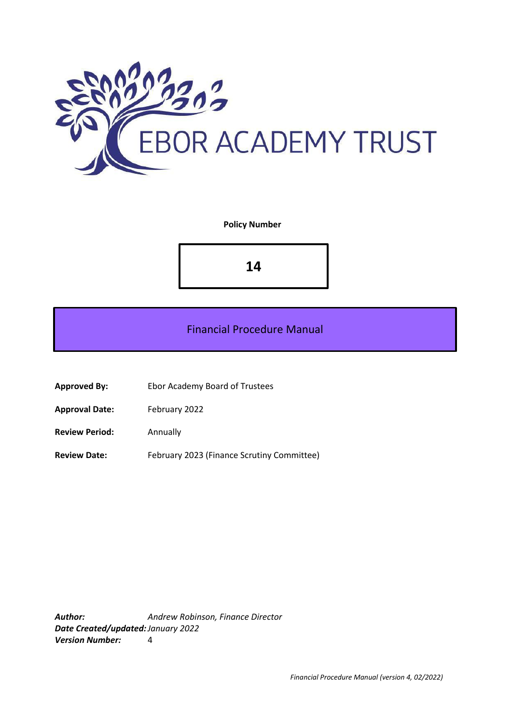

### **Policy Number**

**14**

# Financial Procedure Manual

- **Approved By:** Ebor Academy Board of Trustees
- **Approval Date:** February 2022
- **Review Period:** Annually
- **Review Date:** February 2023 (Finance Scrutiny Committee)

*Author: Andrew Robinson, Finance Director Date Created/updated:January 2022 Version Number:* 4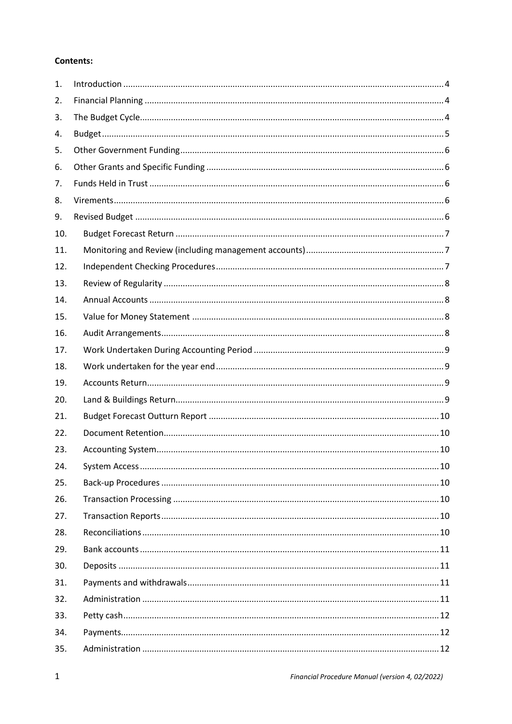# **Contents:**

| 1.  |  |
|-----|--|
| 2.  |  |
| 3.  |  |
| 4.  |  |
| 5.  |  |
| 6.  |  |
| 7.  |  |
| 8.  |  |
| 9.  |  |
| 10. |  |
| 11. |  |
| 12. |  |
| 13. |  |
| 14. |  |
| 15. |  |
| 16. |  |
| 17. |  |
| 18. |  |
| 19. |  |
| 20. |  |
| 21. |  |
| 22. |  |
| 23. |  |
| 24. |  |
| 25. |  |
| 26. |  |
| 27. |  |
| 28. |  |
| 29. |  |
| 30. |  |
| 31. |  |
| 32. |  |
| 33. |  |
| 34. |  |
| 35. |  |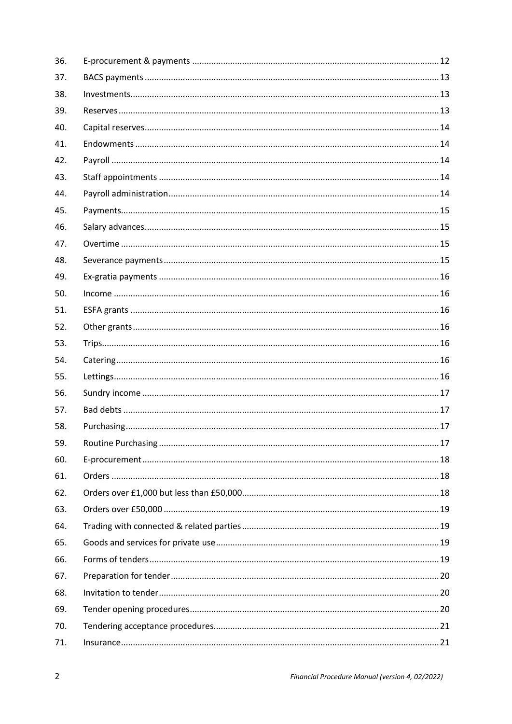| 36. |  |
|-----|--|
| 37. |  |
| 38. |  |
| 39. |  |
| 40. |  |
| 41. |  |
| 42. |  |
| 43. |  |
| 44. |  |
| 45. |  |
| 46. |  |
| 47. |  |
| 48. |  |
| 49. |  |
| 50. |  |
| 51. |  |
| 52. |  |
| 53. |  |
| 54. |  |
| 55. |  |
| 56. |  |
| 57. |  |
| 58. |  |
| 59. |  |
| 60. |  |
| 61. |  |
| 62. |  |
| 63. |  |
| 64. |  |
| 65. |  |
| 66. |  |
| 67. |  |
| 68. |  |
| 69. |  |
| 70. |  |
| 71. |  |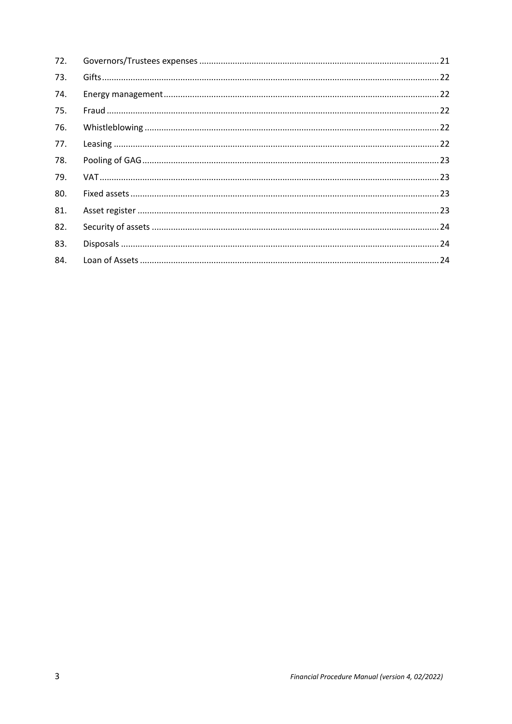| 72. |  |
|-----|--|
| 73. |  |
| 74. |  |
| 75. |  |
| 76. |  |
| 77. |  |
| 78. |  |
| 79. |  |
| 80. |  |
| 81. |  |
| 82. |  |
| 83. |  |
| 84. |  |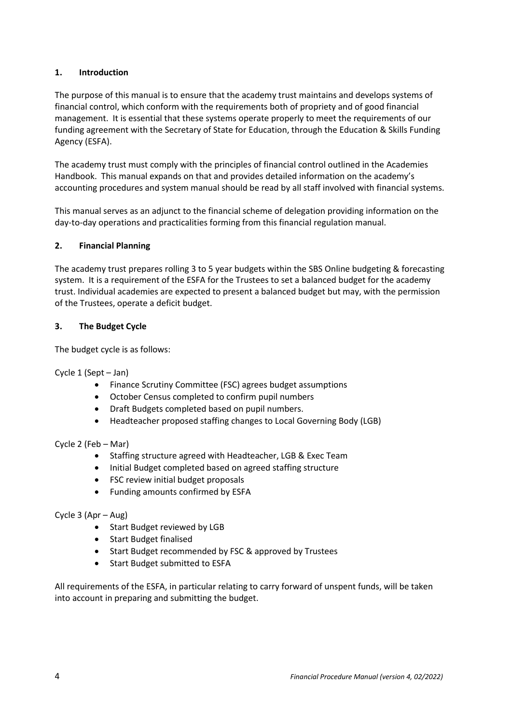# <span id="page-4-0"></span>**1. Introduction**

The purpose of this manual is to ensure that the academy trust maintains and develops systems of financial control, which conform with the requirements both of propriety and of good financial management. It is essential that these systems operate properly to meet the requirements of our funding agreement with the Secretary of State for Education, through the Education & Skills Funding Agency (ESFA).

The academy trust must comply with the principles of financial control outlined in the Academies Handbook. This manual expands on that and provides detailed information on the academy's accounting procedures and system manual should be read by all staff involved with financial systems.

This manual serves as an adjunct to the financial scheme of delegation providing information on the day-to-day operations and practicalities forming from this financial regulation manual.

## <span id="page-4-1"></span>**2. Financial Planning**

The academy trust prepares rolling 3 to 5 year budgets within the SBS Online budgeting & forecasting system. It is a requirement of the ESFA for the Trustees to set a balanced budget for the academy trust. Individual academies are expected to present a balanced budget but may, with the permission of the Trustees, operate a deficit budget.

## <span id="page-4-2"></span>**3. The Budget Cycle**

The budget cycle is as follows:

Cycle 1 (Sept – Jan)

- Finance Scrutiny Committee (FSC) agrees budget assumptions
- October Census completed to confirm pupil numbers
- Draft Budgets completed based on pupil numbers.
- Headteacher proposed staffing changes to Local Governing Body (LGB)

# Cycle 2 (Feb – Mar)

- Staffing structure agreed with Headteacher, LGB & Exec Team
- Initial Budget completed based on agreed staffing structure
- FSC review initial budget proposals
- Funding amounts confirmed by ESFA

# Cycle 3 (Apr – Aug)

- Start Budget reviewed by LGB
- Start Budget finalised
- Start Budget recommended by FSC & approved by Trustees
- Start Budget submitted to ESFA

All requirements of the ESFA, in particular relating to carry forward of unspent funds, will be taken into account in preparing and submitting the budget.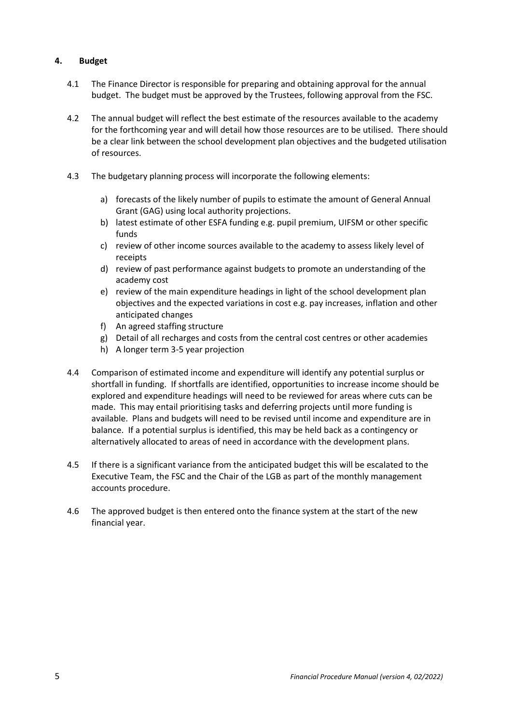# <span id="page-5-0"></span>**4. Budget**

- 4.1 The Finance Director is responsible for preparing and obtaining approval for the annual budget. The budget must be approved by the Trustees, following approval from the FSC.
- 4.2 The annual budget will reflect the best estimate of the resources available to the academy for the forthcoming year and will detail how those resources are to be utilised. There should be a clear link between the school development plan objectives and the budgeted utilisation of resources.
- 4.3 The budgetary planning process will incorporate the following elements:
	- a) forecasts of the likely number of pupils to estimate the amount of General Annual Grant (GAG) using local authority projections.
	- b) latest estimate of other ESFA funding e.g. pupil premium, UIFSM or other specific funds
	- c) review of other income sources available to the academy to assess likely level of receipts
	- d) review of past performance against budgets to promote an understanding of the academy cost
	- e) review of the main expenditure headings in light of the school development plan objectives and the expected variations in cost e.g. pay increases, inflation and other anticipated changes
	- f) An agreed staffing structure
	- g) Detail of all recharges and costs from the central cost centres or other academies
	- h) A longer term 3-5 year projection
- 4.4 Comparison of estimated income and expenditure will identify any potential surplus or shortfall in funding. If shortfalls are identified, opportunities to increase income should be explored and expenditure headings will need to be reviewed for areas where cuts can be made. This may entail prioritising tasks and deferring projects until more funding is available. Plans and budgets will need to be revised until income and expenditure are in balance. If a potential surplus is identified, this may be held back as a contingency or alternatively allocated to areas of need in accordance with the development plans.
- 4.5 If there is a significant variance from the anticipated budget this will be escalated to the Executive Team, the FSC and the Chair of the LGB as part of the monthly management accounts procedure.
- 4.6 The approved budget is then entered onto the finance system at the start of the new financial year.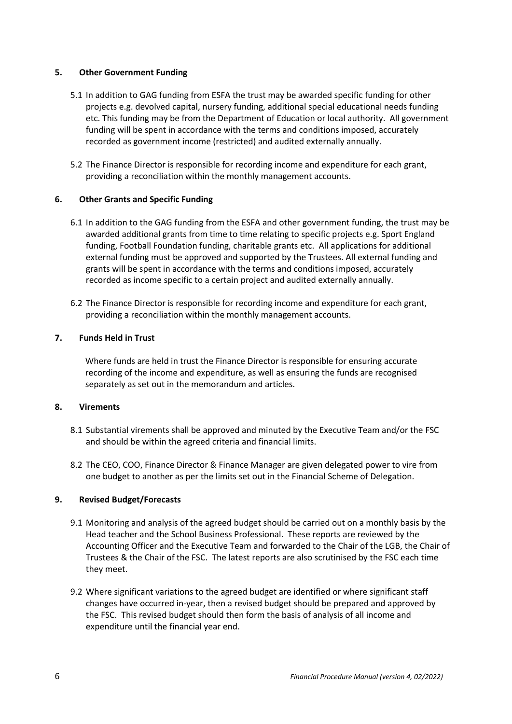## <span id="page-6-0"></span>**5. Other Government Funding**

- 5.1 In addition to GAG funding from ESFA the trust may be awarded specific funding for other projects e.g. devolved capital, nursery funding, additional special educational needs funding etc. This funding may be from the Department of Education or local authority. All government funding will be spent in accordance with the terms and conditions imposed, accurately recorded as government income (restricted) and audited externally annually.
- 5.2 The Finance Director is responsible for recording income and expenditure for each grant, providing a reconciliation within the monthly management accounts.

# <span id="page-6-1"></span>**6. Other Grants and Specific Funding**

- 6.1 In addition to the GAG funding from the ESFA and other government funding, the trust may be awarded additional grants from time to time relating to specific projects e.g. Sport England funding, Football Foundation funding, charitable grants etc. All applications for additional external funding must be approved and supported by the Trustees. All external funding and grants will be spent in accordance with the terms and conditions imposed, accurately recorded as income specific to a certain project and audited externally annually.
- 6.2 The Finance Director is responsible for recording income and expenditure for each grant, providing a reconciliation within the monthly management accounts.

## <span id="page-6-2"></span>**7. Funds Held in Trust**

Where funds are held in trust the Finance Director is responsible for ensuring accurate recording of the income and expenditure, as well as ensuring the funds are recognised separately as set out in the memorandum and articles.

## <span id="page-6-3"></span>**8. Virements**

- 8.1 Substantial virements shall be approved and minuted by the Executive Team and/or the FSC and should be within the agreed criteria and financial limits.
- 8.2 The CEO, COO, Finance Director & Finance Manager are given delegated power to vire from one budget to another as per the limits set out in the Financial Scheme of Delegation.

### <span id="page-6-4"></span>**9. Revised Budget/Forecasts**

- 9.1 Monitoring and analysis of the agreed budget should be carried out on a monthly basis by the Head teacher and the School Business Professional. These reports are reviewed by the Accounting Officer and the Executive Team and forwarded to the Chair of the LGB, the Chair of Trustees & the Chair of the FSC. The latest reports are also scrutinised by the FSC each time they meet.
- 9.2 Where significant variations to the agreed budget are identified or where significant staff changes have occurred in-year, then a revised budget should be prepared and approved by the FSC. This revised budget should then form the basis of analysis of all income and expenditure until the financial year end.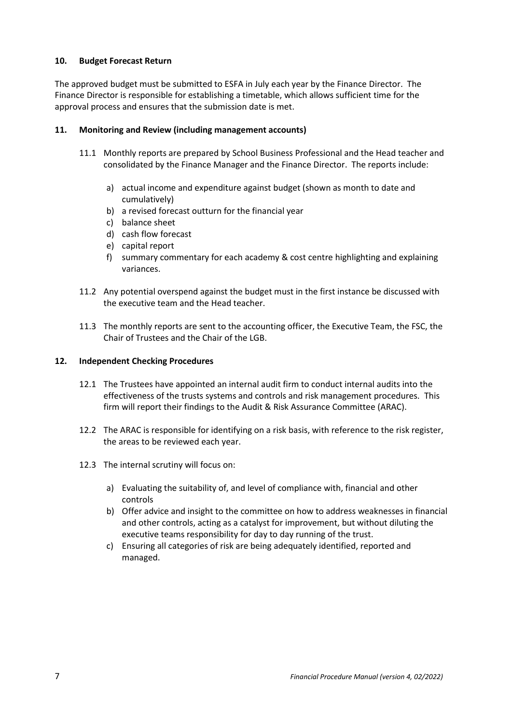## <span id="page-7-0"></span>**10. Budget Forecast Return**

The approved budget must be submitted to ESFA in July each year by the Finance Director. The Finance Director is responsible for establishing a timetable, which allows sufficient time for the approval process and ensures that the submission date is met.

### <span id="page-7-1"></span>**11. Monitoring and Review (including management accounts)**

- 11.1 Monthly reports are prepared by School Business Professional and the Head teacher and consolidated by the Finance Manager and the Finance Director. The reports include:
	- a) actual income and expenditure against budget (shown as month to date and cumulatively)
	- b) a revised forecast outturn for the financial year
	- c) balance sheet
	- d) cash flow forecast
	- e) capital report
	- f) summary commentary for each academy & cost centre highlighting and explaining variances.
- 11.2 Any potential overspend against the budget must in the first instance be discussed with the executive team and the Head teacher.
- 11.3 The monthly reports are sent to the accounting officer, the Executive Team, the FSC, the Chair of Trustees and the Chair of the LGB.

### <span id="page-7-2"></span>**12. Independent Checking Procedures**

- 12.1 The Trustees have appointed an internal audit firm to conduct internal audits into the effectiveness of the trusts systems and controls and risk management procedures. This firm will report their findings to the Audit & Risk Assurance Committee (ARAC).
- 12.2 The ARAC is responsible for identifying on a risk basis, with reference to the risk register, the areas to be reviewed each year.
- 12.3 The internal scrutiny will focus on:
	- a) Evaluating the suitability of, and level of compliance with, financial and other controls
	- b) Offer advice and insight to the committee on how to address weaknesses in financial and other controls, acting as a catalyst for improvement, but without diluting the executive teams responsibility for day to day running of the trust.
	- c) Ensuring all categories of risk are being adequately identified, reported and managed.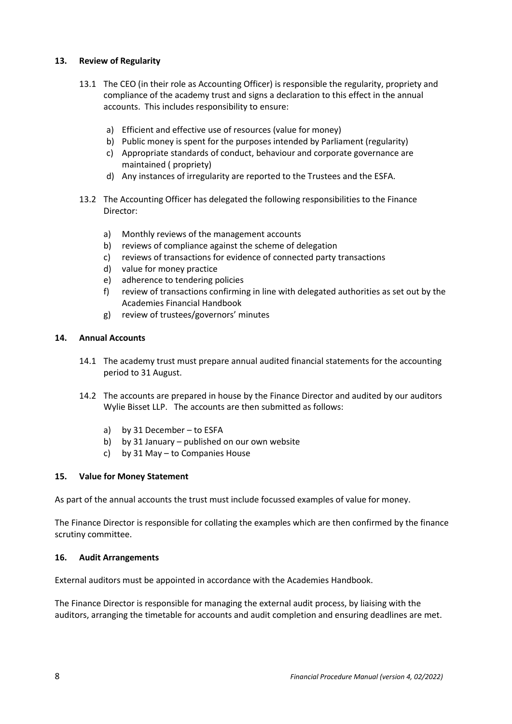# <span id="page-8-0"></span>**13. Review of Regularity**

- 13.1 The CEO (in their role as Accounting Officer) is responsible the regularity, propriety and compliance of the academy trust and signs a declaration to this effect in the annual accounts. This includes responsibility to ensure:
	- a) Efficient and effective use of resources (value for money)
	- b) Public money is spent for the purposes intended by Parliament (regularity)
	- c) Appropriate standards of conduct, behaviour and corporate governance are maintained ( propriety)
	- d) Any instances of irregularity are reported to the Trustees and the ESFA.
- 13.2 The Accounting Officer has delegated the following responsibilities to the Finance Director:
	- a) Monthly reviews of the management accounts
	- b) reviews of compliance against the scheme of delegation
	- c) reviews of transactions for evidence of connected party transactions
	- d) value for money practice
	- e) adherence to tendering policies
	- f) review of transactions confirming in line with delegated authorities as set out by the Academies Financial Handbook
	- g) review of trustees/governors' minutes

### <span id="page-8-1"></span>**14. Annual Accounts**

- 14.1 The academy trust must prepare annual audited financial statements for the accounting period to 31 August.
- 14.2 The accounts are prepared in house by the Finance Director and audited by our auditors Wylie Bisset LLP. The accounts are then submitted as follows:
	- a) by 31 December to ESFA
	- b) by 31 January published on our own website
	- c) by 31 May to Companies House

### <span id="page-8-2"></span>**15. Value for Money Statement**

As part of the annual accounts the trust must include focussed examples of value for money.

The Finance Director is responsible for collating the examples which are then confirmed by the finance scrutiny committee.

### <span id="page-8-3"></span>**16. Audit Arrangements**

External auditors must be appointed in accordance with the Academies Handbook.

The Finance Director is responsible for managing the external audit process, by liaising with the auditors, arranging the timetable for accounts and audit completion and ensuring deadlines are met.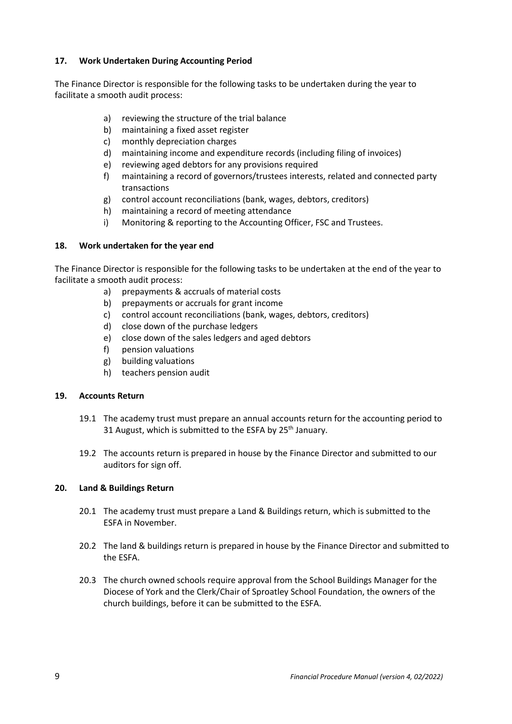# <span id="page-9-0"></span>**17. Work Undertaken During Accounting Period**

The Finance Director is responsible for the following tasks to be undertaken during the year to facilitate a smooth audit process:

- a) reviewing the structure of the trial balance
- b) maintaining a fixed asset register
- c) monthly depreciation charges
- d) maintaining income and expenditure records (including filing of invoices)
- e) reviewing aged debtors for any provisions required
- f) maintaining a record of governors/trustees interests, related and connected party transactions
- g) control account reconciliations (bank, wages, debtors, creditors)
- h) maintaining a record of meeting attendance
- i) Monitoring & reporting to the Accounting Officer, FSC and Trustees.

### <span id="page-9-1"></span>**18. Work undertaken for the year end**

The Finance Director is responsible for the following tasks to be undertaken at the end of the year to facilitate a smooth audit process:

- a) prepayments & accruals of material costs
- b) prepayments or accruals for grant income
- c) control account reconciliations (bank, wages, debtors, creditors)
- d) close down of the purchase ledgers
- e) close down of the sales ledgers and aged debtors
- f) pension valuations
- g) building valuations
- h) teachers pension audit

### <span id="page-9-2"></span>**19. Accounts Return**

- 19.1 The academy trust must prepare an annual accounts return for the accounting period to 31 August, which is submitted to the ESFA by 25<sup>th</sup> January.
- 19.2 The accounts return is prepared in house by the Finance Director and submitted to our auditors for sign off.

### <span id="page-9-3"></span>**20. Land & Buildings Return**

- 20.1 The academy trust must prepare a Land & Buildings return, which is submitted to the ESFA in November.
- 20.2 The land & buildings return is prepared in house by the Finance Director and submitted to the ESFA.
- 20.3 The church owned schools require approval from the School Buildings Manager for the Diocese of York and the Clerk/Chair of Sproatley School Foundation, the owners of the church buildings, before it can be submitted to the ESFA.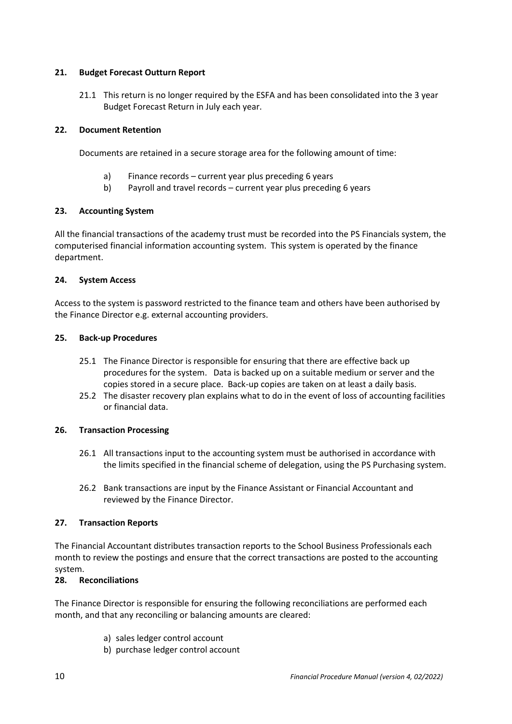## <span id="page-10-0"></span>**21. Budget Forecast Outturn Report**

21.1 This return is no longer required by the ESFA and has been consolidated into the 3 year Budget Forecast Return in July each year.

# <span id="page-10-1"></span>**22. Document Retention**

Documents are retained in a secure storage area for the following amount of time:

- a) Finance records current year plus preceding 6 years
- b) Payroll and travel records current year plus preceding 6 years

## <span id="page-10-2"></span>**23. Accounting System**

All the financial transactions of the academy trust must be recorded into the PS Financials system, the computerised financial information accounting system. This system is operated by the finance department.

## <span id="page-10-3"></span>**24. System Access**

Access to the system is password restricted to the finance team and others have been authorised by the Finance Director e.g. external accounting providers.

## <span id="page-10-4"></span>**25. Back-up Procedures**

- 25.1 The Finance Director is responsible for ensuring that there are effective back up procedures for the system. Data is backed up on a suitable medium or server and the copies stored in a secure place. Back-up copies are taken on at least a daily basis.
- 25.2 The disaster recovery plan explains what to do in the event of loss of accounting facilities or financial data.

# <span id="page-10-5"></span>**26. Transaction Processing**

- 26.1 All transactions input to the accounting system must be authorised in accordance with the limits specified in the financial scheme of delegation, using the PS Purchasing system.
- 26.2 Bank transactions are input by the Finance Assistant or Financial Accountant and reviewed by the Finance Director.

# <span id="page-10-6"></span>**27. Transaction Reports**

The Financial Accountant distributes transaction reports to the School Business Professionals each month to review the postings and ensure that the correct transactions are posted to the accounting system.

# <span id="page-10-7"></span>**28. Reconciliations**

The Finance Director is responsible for ensuring the following reconciliations are performed each month, and that any reconciling or balancing amounts are cleared:

- a) sales ledger control account
- b) purchase ledger control account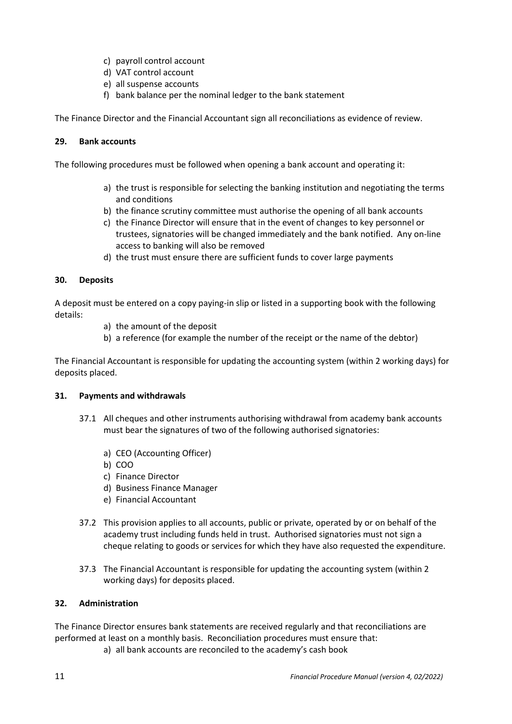- c) payroll control account
- d) VAT control account
- e) all suspense accounts
- f) bank balance per the nominal ledger to the bank statement

The Finance Director and the Financial Accountant sign all reconciliations as evidence of review.

## <span id="page-11-0"></span>**29. Bank accounts**

The following procedures must be followed when opening a bank account and operating it:

- a) the trust is responsible for selecting the banking institution and negotiating the terms and conditions
- b) the finance scrutiny committee must authorise the opening of all bank accounts
- c) the Finance Director will ensure that in the event of changes to key personnel or trustees, signatories will be changed immediately and the bank notified. Any on-line access to banking will also be removed
- d) the trust must ensure there are sufficient funds to cover large payments

## <span id="page-11-1"></span>**30. Deposits**

A deposit must be entered on a copy paying-in slip or listed in a supporting book with the following details:

- a) the amount of the deposit
- b) a reference (for example the number of the receipt or the name of the debtor)

The Financial Accountant is responsible for updating the accounting system (within 2 working days) for deposits placed.

### <span id="page-11-2"></span>**31. Payments and withdrawals**

- 37.1 All cheques and other instruments authorising withdrawal from academy bank accounts must bear the signatures of two of the following authorised signatories:
	- a) CEO (Accounting Officer)
	- b) COO
	- c) Finance Director
	- d) Business Finance Manager
	- e) Financial Accountant
- 37.2 This provision applies to all accounts, public or private, operated by or on behalf of the academy trust including funds held in trust. Authorised signatories must not sign a cheque relating to goods or services for which they have also requested the expenditure.
- 37.3 The Financial Accountant is responsible for updating the accounting system (within 2 working days) for deposits placed.

# <span id="page-11-3"></span>**32. Administration**

The Finance Director ensures bank statements are received regularly and that reconciliations are performed at least on a monthly basis. Reconciliation procedures must ensure that:

a) all bank accounts are reconciled to the academy's cash book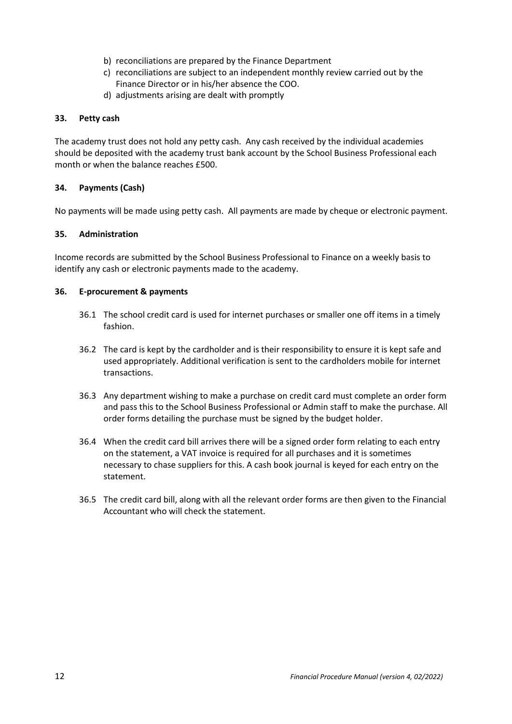- b) reconciliations are prepared by the Finance Department
- c) reconciliations are subject to an independent monthly review carried out by the Finance Director or in his/her absence the COO.
- d) adjustments arising are dealt with promptly

### <span id="page-12-0"></span>**33. Petty cash**

The academy trust does not hold any petty cash. Any cash received by the individual academies should be deposited with the academy trust bank account by the School Business Professional each month or when the balance reaches £500.

## <span id="page-12-1"></span>**34. Payments (Cash)**

No payments will be made using petty cash. All payments are made by cheque or electronic payment.

## <span id="page-12-2"></span>**35. Administration**

Income records are submitted by the School Business Professional to Finance on a weekly basis to identify any cash or electronic payments made to the academy.

## <span id="page-12-3"></span>**36. E-procurement & payments**

- 36.1 The school credit card is used for internet purchases or smaller one off items in a timely fashion.
- 36.2 The card is kept by the cardholder and is their responsibility to ensure it is kept safe and used appropriately. Additional verification is sent to the cardholders mobile for internet transactions.
- 36.3 Any department wishing to make a purchase on credit card must complete an order form and pass this to the School Business Professional or Admin staff to make the purchase. All order forms detailing the purchase must be signed by the budget holder.
- 36.4 When the credit card bill arrives there will be a signed order form relating to each entry on the statement, a VAT invoice is required for all purchases and it is sometimes necessary to chase suppliers for this. A cash book journal is keyed for each entry on the statement.
- 36.5 The credit card bill, along with all the relevant order forms are then given to the Financial Accountant who will check the statement.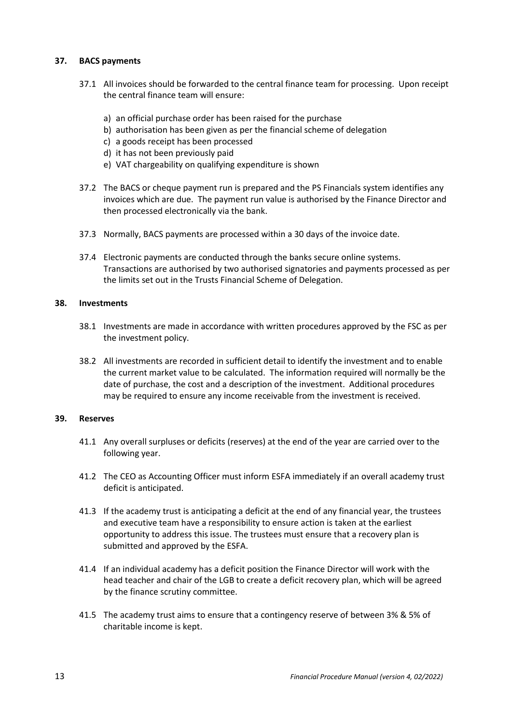## <span id="page-13-0"></span>**37. BACS payments**

- 37.1 All invoices should be forwarded to the central finance team for processing. Upon receipt the central finance team will ensure:
	- a) an official purchase order has been raised for the purchase
	- b) authorisation has been given as per the financial scheme of delegation
	- c) a goods receipt has been processed
	- d) it has not been previously paid
	- e) VAT chargeability on qualifying expenditure is shown
- 37.2 The BACS or cheque payment run is prepared and the PS Financials system identifies any invoices which are due. The payment run value is authorised by the Finance Director and then processed electronically via the bank.
- 37.3 Normally, BACS payments are processed within a 30 days of the invoice date.
- 37.4 Electronic payments are conducted through the banks secure online systems. Transactions are authorised by two authorised signatories and payments processed as per the limits set out in the Trusts Financial Scheme of Delegation.

#### <span id="page-13-1"></span>**38. Investments**

- 38.1 Investments are made in accordance with written procedures approved by the FSC as per the investment policy.
- 38.2 All investments are recorded in sufficient detail to identify the investment and to enable the current market value to be calculated. The information required will normally be the date of purchase, the cost and a description of the investment. Additional procedures may be required to ensure any income receivable from the investment is received.

#### <span id="page-13-2"></span>**39. Reserves**

- 41.1 Any overall surpluses or deficits (reserves) at the end of the year are carried over to the following year.
- 41.2 The CEO as Accounting Officer must inform ESFA immediately if an overall academy trust deficit is anticipated.
- 41.3 If the academy trust is anticipating a deficit at the end of any financial year, the trustees and executive team have a responsibility to ensure action is taken at the earliest opportunity to address this issue. The trustees must ensure that a recovery plan is submitted and approved by the ESFA.
- 41.4 If an individual academy has a deficit position the Finance Director will work with the head teacher and chair of the LGB to create a deficit recovery plan, which will be agreed by the finance scrutiny committee.
- 41.5 The academy trust aims to ensure that a contingency reserve of between 3% & 5% of charitable income is kept.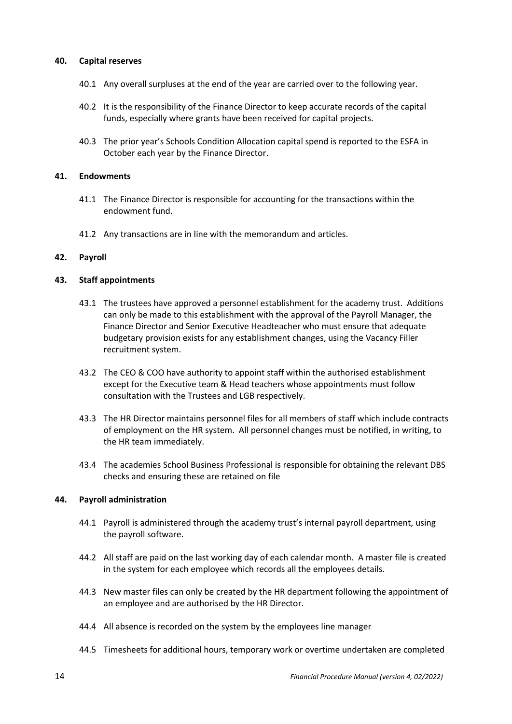### <span id="page-14-0"></span>**40. Capital reserves**

- 40.1 Any overall surpluses at the end of the year are carried over to the following year.
- 40.2 It is the responsibility of the Finance Director to keep accurate records of the capital funds, especially where grants have been received for capital projects.
- 40.3 The prior year's Schools Condition Allocation capital spend is reported to the ESFA in October each year by the Finance Director.

#### <span id="page-14-1"></span>**41. Endowments**

- 41.1 The Finance Director is responsible for accounting for the transactions within the endowment fund.
- 41.2 Any transactions are in line with the memorandum and articles.

#### <span id="page-14-2"></span>**42. Payroll**

#### <span id="page-14-3"></span>**43. Staff appointments**

- 43.1 The trustees have approved a personnel establishment for the academy trust. Additions can only be made to this establishment with the approval of the Payroll Manager, the Finance Director and Senior Executive Headteacher who must ensure that adequate budgetary provision exists for any establishment changes, using the Vacancy Filler recruitment system.
- 43.2 The CEO & COO have authority to appoint staff within the authorised establishment except for the Executive team & Head teachers whose appointments must follow consultation with the Trustees and LGB respectively.
- 43.3 The HR Director maintains personnel files for all members of staff which include contracts of employment on the HR system. All personnel changes must be notified, in writing, to the HR team immediately.
- 43.4 The academies School Business Professional is responsible for obtaining the relevant DBS checks and ensuring these are retained on file

#### <span id="page-14-4"></span>**44. Payroll administration**

- 44.1 Payroll is administered through the academy trust's internal payroll department, using the payroll software.
- 44.2 All staff are paid on the last working day of each calendar month. A master file is created in the system for each employee which records all the employees details.
- 44.3 New master files can only be created by the HR department following the appointment of an employee and are authorised by the HR Director.
- 44.4 All absence is recorded on the system by the employees line manager
- 44.5 Timesheets for additional hours, temporary work or overtime undertaken are completed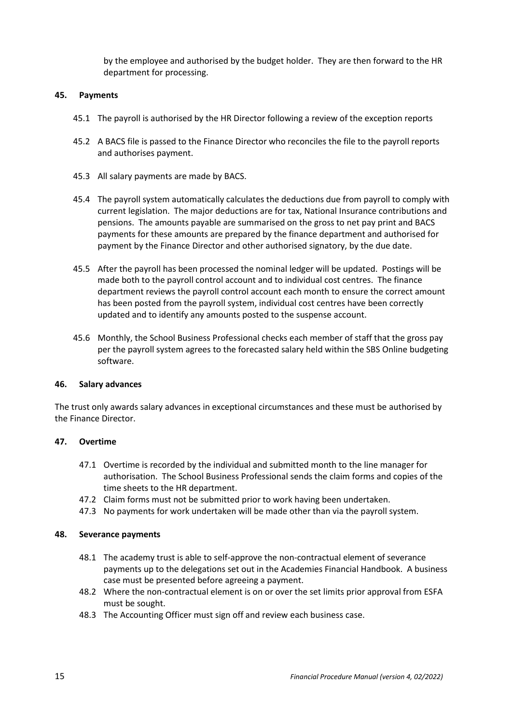by the employee and authorised by the budget holder. They are then forward to the HR department for processing.

#### <span id="page-15-0"></span>**45. Payments**

- 45.1 The payroll is authorised by the HR Director following a review of the exception reports
- 45.2 A BACS file is passed to the Finance Director who reconciles the file to the payroll reports and authorises payment.
- 45.3 All salary payments are made by BACS.
- 45.4 The payroll system automatically calculates the deductions due from payroll to comply with current legislation. The major deductions are for tax, National Insurance contributions and pensions. The amounts payable are summarised on the gross to net pay print and BACS payments for these amounts are prepared by the finance department and authorised for payment by the Finance Director and other authorised signatory, by the due date.
- 45.5 After the payroll has been processed the nominal ledger will be updated. Postings will be made both to the payroll control account and to individual cost centres. The finance department reviews the payroll control account each month to ensure the correct amount has been posted from the payroll system, individual cost centres have been correctly updated and to identify any amounts posted to the suspense account.
- 45.6 Monthly, the School Business Professional checks each member of staff that the gross pay per the payroll system agrees to the forecasted salary held within the SBS Online budgeting software.

#### <span id="page-15-1"></span>**46. Salary advances**

The trust only awards salary advances in exceptional circumstances and these must be authorised by the Finance Director.

#### <span id="page-15-2"></span>**47. Overtime**

- 47.1 Overtime is recorded by the individual and submitted month to the line manager for authorisation. The School Business Professional sends the claim forms and copies of the time sheets to the HR department.
- 47.2 Claim forms must not be submitted prior to work having been undertaken.
- 47.3 No payments for work undertaken will be made other than via the payroll system.

#### <span id="page-15-3"></span>**48. Severance payments**

- 48.1 The academy trust is able to self-approve the non-contractual element of severance payments up to the delegations set out in the Academies Financial Handbook. A business case must be presented before agreeing a payment.
- 48.2 Where the non-contractual element is on or over the set limits prior approval from ESFA must be sought.
- 48.3 The Accounting Officer must sign off and review each business case.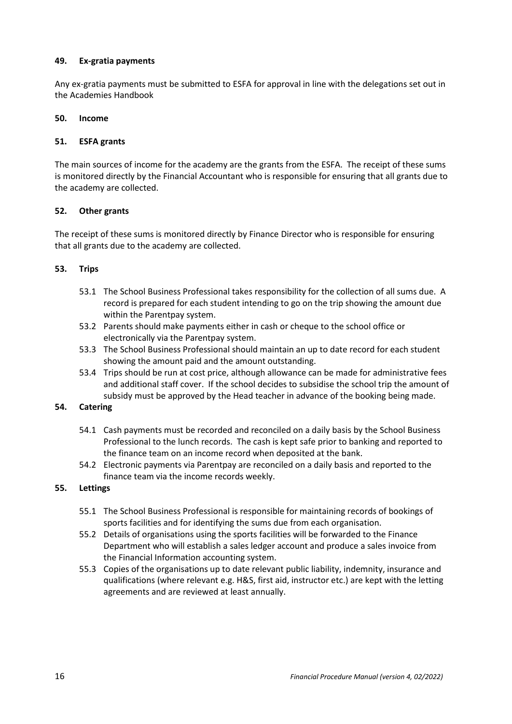## <span id="page-16-0"></span>**49. Ex-gratia payments**

Any ex-gratia payments must be submitted to ESFA for approval in line with the delegations set out in the Academies Handbook

## <span id="page-16-1"></span>**50. Income**

# <span id="page-16-2"></span>**51. ESFA grants**

The main sources of income for the academy are the grants from the ESFA. The receipt of these sums is monitored directly by the Financial Accountant who is responsible for ensuring that all grants due to the academy are collected.

## <span id="page-16-3"></span>**52. Other grants**

The receipt of these sums is monitored directly by Finance Director who is responsible for ensuring that all grants due to the academy are collected.

## <span id="page-16-4"></span>**53. Trips**

- 53.1 The School Business Professional takes responsibility for the collection of all sums due. A record is prepared for each student intending to go on the trip showing the amount due within the Parentpay system.
- 53.2 Parents should make payments either in cash or cheque to the school office or electronically via the Parentpay system.
- 53.3 The School Business Professional should maintain an up to date record for each student showing the amount paid and the amount outstanding.
- 53.4 Trips should be run at cost price, although allowance can be made for administrative fees and additional staff cover. If the school decides to subsidise the school trip the amount of subsidy must be approved by the Head teacher in advance of the booking being made.

### <span id="page-16-5"></span>**54. Catering**

- 54.1 Cash payments must be recorded and reconciled on a daily basis by the School Business Professional to the lunch records. The cash is kept safe prior to banking and reported to the finance team on an income record when deposited at the bank.
- 54.2 Electronic payments via Parentpay are reconciled on a daily basis and reported to the finance team via the income records weekly.

# <span id="page-16-6"></span>**55. Lettings**

- 55.1 The School Business Professional is responsible for maintaining records of bookings of sports facilities and for identifying the sums due from each organisation.
- 55.2 Details of organisations using the sports facilities will be forwarded to the Finance Department who will establish a sales ledger account and produce a sales invoice from the Financial Information accounting system.
- 55.3 Copies of the organisations up to date relevant public liability, indemnity, insurance and qualifications (where relevant e.g. H&S, first aid, instructor etc.) are kept with the letting agreements and are reviewed at least annually.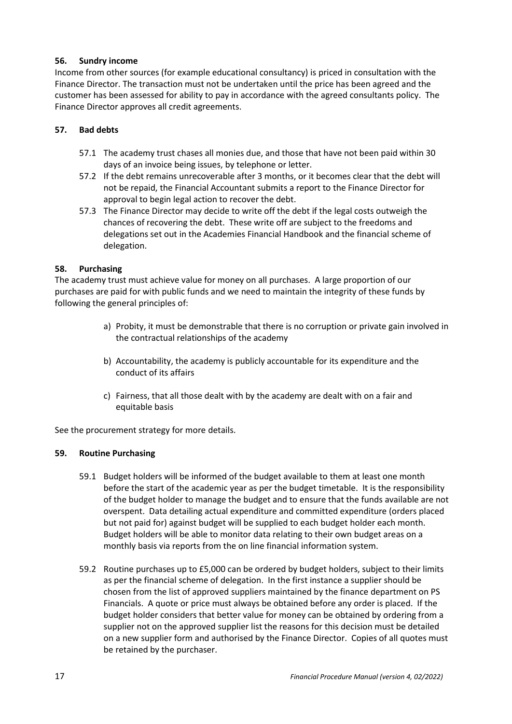# <span id="page-17-0"></span>**56. Sundry income**

Income from other sources (for example educational consultancy) is priced in consultation with the Finance Director. The transaction must not be undertaken until the price has been agreed and the customer has been assessed for ability to pay in accordance with the agreed consultants policy. The Finance Director approves all credit agreements.

## <span id="page-17-1"></span>**57. Bad debts**

- 57.1 The academy trust chases all monies due, and those that have not been paid within 30 days of an invoice being issues, by telephone or letter.
- 57.2 If the debt remains unrecoverable after 3 months, or it becomes clear that the debt will not be repaid, the Financial Accountant submits a report to the Finance Director for approval to begin legal action to recover the debt.
- 57.3 The Finance Director may decide to write off the debt if the legal costs outweigh the chances of recovering the debt. These write off are subject to the freedoms and delegations set out in the Academies Financial Handbook and the financial scheme of delegation.

### <span id="page-17-2"></span>**58. Purchasing**

The academy trust must achieve value for money on all purchases. A large proportion of our purchases are paid for with public funds and we need to maintain the integrity of these funds by following the general principles of:

- a) Probity, it must be demonstrable that there is no corruption or private gain involved in the contractual relationships of the academy
- b) Accountability, the academy is publicly accountable for its expenditure and the conduct of its affairs
- c) Fairness, that all those dealt with by the academy are dealt with on a fair and equitable basis

See the procurement strategy for more details.

### <span id="page-17-3"></span>**59. Routine Purchasing**

- 59.1 Budget holders will be informed of the budget available to them at least one month before the start of the academic year as per the budget timetable. It is the responsibility of the budget holder to manage the budget and to ensure that the funds available are not overspent. Data detailing actual expenditure and committed expenditure (orders placed but not paid for) against budget will be supplied to each budget holder each month. Budget holders will be able to monitor data relating to their own budget areas on a monthly basis via reports from the on line financial information system.
- 59.2 Routine purchases up to £5,000 can be ordered by budget holders, subject to their limits as per the financial scheme of delegation. In the first instance a supplier should be chosen from the list of approved suppliers maintained by the finance department on PS Financials. A quote or price must always be obtained before any order is placed. If the budget holder considers that better value for money can be obtained by ordering from a supplier not on the approved supplier list the reasons for this decision must be detailed on a new supplier form and authorised by the Finance Director. Copies of all quotes must be retained by the purchaser.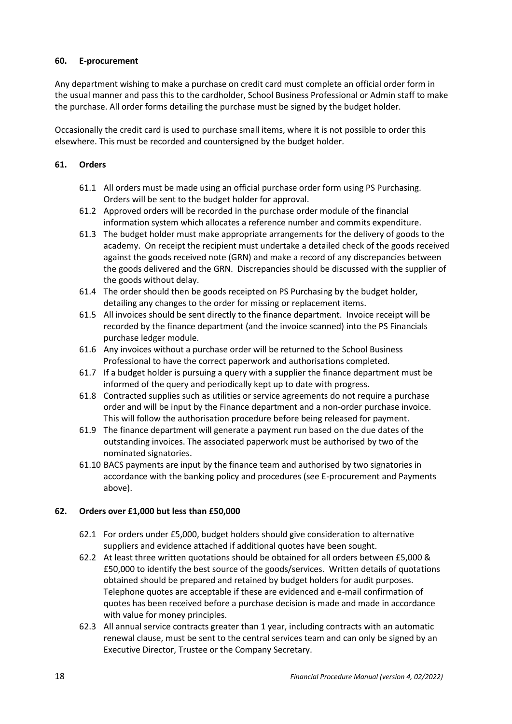# <span id="page-18-0"></span>**60. E-procurement**

Any department wishing to make a purchase on credit card must complete an official order form in the usual manner and pass this to the cardholder, School Business Professional or Admin staff to make the purchase. All order forms detailing the purchase must be signed by the budget holder.

Occasionally the credit card is used to purchase small items, where it is not possible to order this elsewhere. This must be recorded and countersigned by the budget holder.

## <span id="page-18-1"></span>**61. Orders**

- 61.1 All orders must be made using an official purchase order form using PS Purchasing. Orders will be sent to the budget holder for approval.
- 61.2 Approved orders will be recorded in the purchase order module of the financial information system which allocates a reference number and commits expenditure.
- 61.3 The budget holder must make appropriate arrangements for the delivery of goods to the academy. On receipt the recipient must undertake a detailed check of the goods received against the goods received note (GRN) and make a record of any discrepancies between the goods delivered and the GRN. Discrepancies should be discussed with the supplier of the goods without delay.
- 61.4 The order should then be goods receipted on PS Purchasing by the budget holder, detailing any changes to the order for missing or replacement items.
- 61.5 All invoices should be sent directly to the finance department. Invoice receipt will be recorded by the finance department (and the invoice scanned) into the PS Financials purchase ledger module.
- 61.6 Any invoices without a purchase order will be returned to the School Business Professional to have the correct paperwork and authorisations completed.
- 61.7 If a budget holder is pursuing a query with a supplier the finance department must be informed of the query and periodically kept up to date with progress.
- 61.8 Contracted supplies such as utilities or service agreements do not require a purchase order and will be input by the Finance department and a non-order purchase invoice. This will follow the authorisation procedure before being released for payment.
- 61.9 The finance department will generate a payment run based on the due dates of the outstanding invoices. The associated paperwork must be authorised by two of the nominated signatories.
- 61.10 BACS payments are input by the finance team and authorised by two signatories in accordance with the banking policy and procedures (see E-procurement and Payments above).

# <span id="page-18-2"></span>**62. Orders over £1,000 but less than £50,000**

- 62.1 For orders under £5,000, budget holders should give consideration to alternative suppliers and evidence attached if additional quotes have been sought.
- 62.2 At least three written quotations should be obtained for all orders between £5,000 & £50,000 to identify the best source of the goods/services. Written details of quotations obtained should be prepared and retained by budget holders for audit purposes. Telephone quotes are acceptable if these are evidenced and e-mail confirmation of quotes has been received before a purchase decision is made and made in accordance with value for money principles.
- 62.3 All annual service contracts greater than 1 year, including contracts with an automatic renewal clause, must be sent to the central services team and can only be signed by an Executive Director, Trustee or the Company Secretary.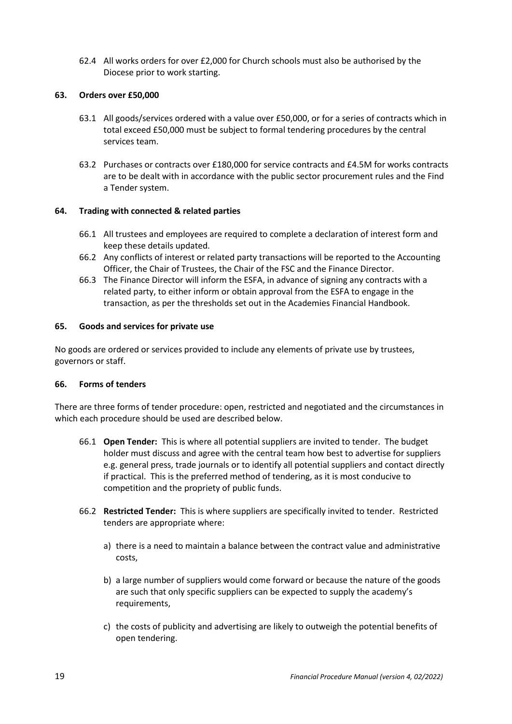62.4 All works orders for over £2,000 for Church schools must also be authorised by the Diocese prior to work starting.

### <span id="page-19-0"></span>**63. Orders over £50,000**

- 63.1 All goods/services ordered with a value over £50,000, or for a series of contracts which in total exceed £50,000 must be subject to formal tendering procedures by the central services team.
- 63.2 Purchases or contracts over £180,000 for service contracts and £4.5M for works contracts are to be dealt with in accordance with the public sector procurement rules and the Find a Tender system.

## <span id="page-19-1"></span>**64. Trading with connected & related parties**

- 66.1 All trustees and employees are required to complete a declaration of interest form and keep these details updated.
- 66.2 Any conflicts of interest or related party transactions will be reported to the Accounting Officer, the Chair of Trustees, the Chair of the FSC and the Finance Director.
- 66.3 The Finance Director will inform the ESFA, in advance of signing any contracts with a related party, to either inform or obtain approval from the ESFA to engage in the transaction, as per the thresholds set out in the Academies Financial Handbook.

## <span id="page-19-2"></span>**65. Goods and services for private use**

No goods are ordered or services provided to include any elements of private use by trustees, governors or staff.

### <span id="page-19-3"></span>**66. Forms of tenders**

There are three forms of tender procedure: open, restricted and negotiated and the circumstances in which each procedure should be used are described below.

- 66.1 **Open Tender:** This is where all potential suppliers are invited to tender. The budget holder must discuss and agree with the central team how best to advertise for suppliers e.g. general press, trade journals or to identify all potential suppliers and contact directly if practical. This is the preferred method of tendering, as it is most conducive to competition and the propriety of public funds.
- 66.2 **Restricted Tender:** This is where suppliers are specifically invited to tender. Restricted tenders are appropriate where:
	- a) there is a need to maintain a balance between the contract value and administrative costs,
	- b) a large number of suppliers would come forward or because the nature of the goods are such that only specific suppliers can be expected to supply the academy's requirements,
	- c) the costs of publicity and advertising are likely to outweigh the potential benefits of open tendering.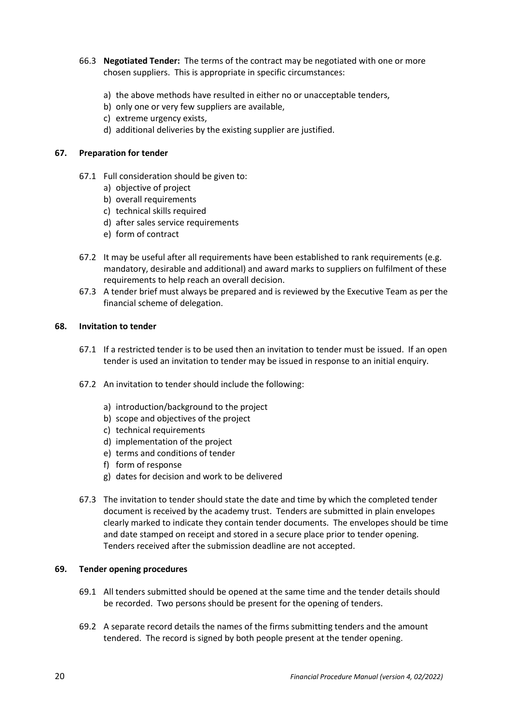- 66.3 **Negotiated Tender:** The terms of the contract may be negotiated with one or more chosen suppliers. This is appropriate in specific circumstances:
	- a) the above methods have resulted in either no or unacceptable tenders,
	- b) only one or very few suppliers are available,
	- c) extreme urgency exists,
	- d) additional deliveries by the existing supplier are justified.

### <span id="page-20-0"></span>**67. Preparation for tender**

- 67.1 Full consideration should be given to:
	- a) objective of project
	- b) overall requirements
	- c) technical skills required
	- d) after sales service requirements
	- e) form of contract
- 67.2 It may be useful after all requirements have been established to rank requirements (e.g. mandatory, desirable and additional) and award marks to suppliers on fulfilment of these requirements to help reach an overall decision.
- 67.3 A tender brief must always be prepared and is reviewed by the Executive Team as per the financial scheme of delegation.

### <span id="page-20-1"></span>**68. Invitation to tender**

- 67.1 If a restricted tender is to be used then an invitation to tender must be issued. If an open tender is used an invitation to tender may be issued in response to an initial enquiry.
- 67.2 An invitation to tender should include the following:
	- a) introduction/background to the project
	- b) scope and objectives of the project
	- c) technical requirements
	- d) implementation of the project
	- e) terms and conditions of tender
	- f) form of response
	- g) dates for decision and work to be delivered
- 67.3 The invitation to tender should state the date and time by which the completed tender document is received by the academy trust. Tenders are submitted in plain envelopes clearly marked to indicate they contain tender documents. The envelopes should be time and date stamped on receipt and stored in a secure place prior to tender opening. Tenders received after the submission deadline are not accepted.

#### <span id="page-20-2"></span>**69. Tender opening procedures**

- 69.1 All tenders submitted should be opened at the same time and the tender details should be recorded. Two persons should be present for the opening of tenders.
- 69.2 A separate record details the names of the firms submitting tenders and the amount tendered. The record is signed by both people present at the tender opening.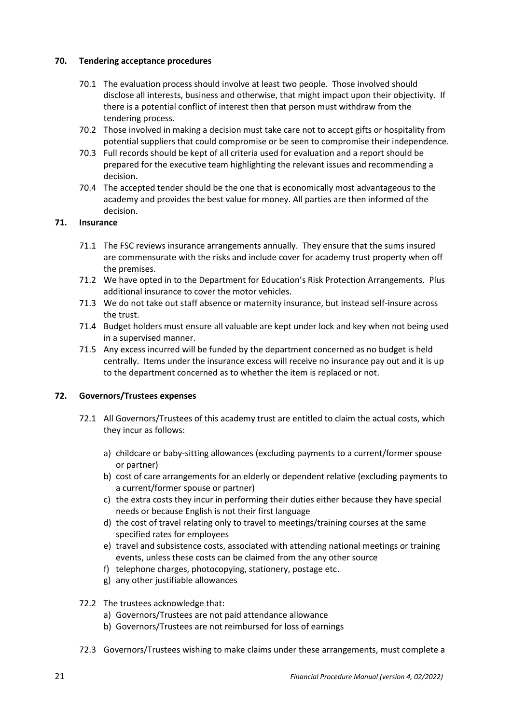## <span id="page-21-0"></span>**70. Tendering acceptance procedures**

- 70.1 The evaluation process should involve at least two people. Those involved should disclose all interests, business and otherwise, that might impact upon their objectivity. If there is a potential conflict of interest then that person must withdraw from the tendering process.
- 70.2 Those involved in making a decision must take care not to accept gifts or hospitality from potential suppliers that could compromise or be seen to compromise their independence.
- 70.3 Full records should be kept of all criteria used for evaluation and a report should be prepared for the executive team highlighting the relevant issues and recommending a decision.
- 70.4 The accepted tender should be the one that is economically most advantageous to the academy and provides the best value for money. All parties are then informed of the decision.

## <span id="page-21-1"></span>**71. Insurance**

- 71.1 The FSC reviews insurance arrangements annually. They ensure that the sums insured are commensurate with the risks and include cover for academy trust property when off the premises.
- 71.2 We have opted in to the Department for Education's Risk Protection Arrangements. Plus additional insurance to cover the motor vehicles.
- 71.3 We do not take out staff absence or maternity insurance, but instead self-insure across the trust.
- 71.4 Budget holders must ensure all valuable are kept under lock and key when not being used in a supervised manner.
- 71.5 Any excess incurred will be funded by the department concerned as no budget is held centrally. Items under the insurance excess will receive no insurance pay out and it is up to the department concerned as to whether the item is replaced or not.

### <span id="page-21-2"></span>**72. Governors/Trustees expenses**

- 72.1 All Governors/Trustees of this academy trust are entitled to claim the actual costs, which they incur as follows:
	- a) childcare or baby-sitting allowances (excluding payments to a current/former spouse or partner)
	- b) cost of care arrangements for an elderly or dependent relative (excluding payments to a current/former spouse or partner)
	- c) the extra costs they incur in performing their duties either because they have special needs or because English is not their first language
	- d) the cost of travel relating only to travel to meetings/training courses at the same specified rates for employees
	- e) travel and subsistence costs, associated with attending national meetings or training events, unless these costs can be claimed from the any other source
	- f) telephone charges, photocopying, stationery, postage etc.
	- g) any other justifiable allowances
- 72.2 The trustees acknowledge that:
	- a) Governors/Trustees are not paid attendance allowance
	- b) Governors/Trustees are not reimbursed for loss of earnings
- 72.3 Governors/Trustees wishing to make claims under these arrangements, must complete a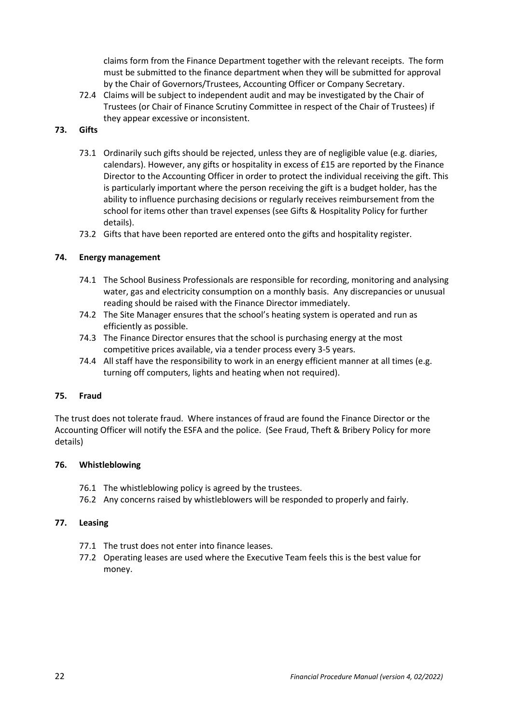claims form from the Finance Department together with the relevant receipts. The form must be submitted to the finance department when they will be submitted for approval by the Chair of Governors/Trustees, Accounting Officer or Company Secretary.

72.4 Claims will be subject to independent audit and may be investigated by the Chair of Trustees (or Chair of Finance Scrutiny Committee in respect of the Chair of Trustees) if they appear excessive or inconsistent.

# <span id="page-22-0"></span>**73. Gifts**

- 73.1 Ordinarily such gifts should be rejected, unless they are of negligible value (e.g. diaries, calendars). However, any gifts or hospitality in excess of £15 are reported by the Finance Director to the Accounting Officer in order to protect the individual receiving the gift. This is particularly important where the person receiving the gift is a budget holder, has the ability to influence purchasing decisions or regularly receives reimbursement from the school for items other than travel expenses (see Gifts & Hospitality Policy for further details).
- 73.2 Gifts that have been reported are entered onto the gifts and hospitality register.

# <span id="page-22-1"></span>**74. Energy management**

- 74.1 The School Business Professionals are responsible for recording, monitoring and analysing water, gas and electricity consumption on a monthly basis. Any discrepancies or unusual reading should be raised with the Finance Director immediately.
- 74.2 The Site Manager ensures that the school's heating system is operated and run as efficiently as possible.
- 74.3 The Finance Director ensures that the school is purchasing energy at the most competitive prices available, via a tender process every 3-5 years.
- 74.4 All staff have the responsibility to work in an energy efficient manner at all times (e.g. turning off computers, lights and heating when not required).

# <span id="page-22-2"></span>**75. Fraud**

The trust does not tolerate fraud. Where instances of fraud are found the Finance Director or the Accounting Officer will notify the ESFA and the police. (See Fraud, Theft & Bribery Policy for more details)

# <span id="page-22-3"></span>**76. Whistleblowing**

- 76.1 The whistleblowing policy is agreed by the trustees.
- 76.2 Any concerns raised by whistleblowers will be responded to properly and fairly.

# <span id="page-22-4"></span>**77. Leasing**

- 77.1 The trust does not enter into finance leases.
- 77.2 Operating leases are used where the Executive Team feels this is the best value for money.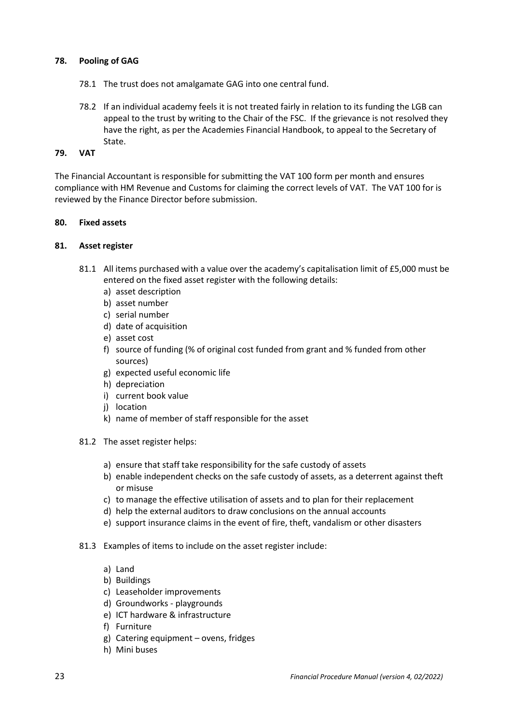## <span id="page-23-0"></span>**78. Pooling of GAG**

- 78.1 The trust does not amalgamate GAG into one central fund.
- 78.2 If an individual academy feels it is not treated fairly in relation to its funding the LGB can appeal to the trust by writing to the Chair of the FSC. If the grievance is not resolved they have the right, as per the Academies Financial Handbook, to appeal to the Secretary of State.

### <span id="page-23-1"></span>**79. VAT**

The Financial Accountant is responsible for submitting the VAT 100 form per month and ensures compliance with HM Revenue and Customs for claiming the correct levels of VAT. The VAT 100 for is reviewed by the Finance Director before submission.

## <span id="page-23-2"></span>**80. Fixed assets**

## <span id="page-23-3"></span>**81. Asset register**

- 81.1 All items purchased with a value over the academy's capitalisation limit of £5,000 must be entered on the fixed asset register with the following details:
	- a) asset description
	- b) asset number
	- c) serial number
	- d) date of acquisition
	- e) asset cost
	- f) source of funding (% of original cost funded from grant and % funded from other sources)
	- g) expected useful economic life
	- h) depreciation
	- i) current book value
	- i) location
	- k) name of member of staff responsible for the asset
- 81.2 The asset register helps:
	- a) ensure that staff take responsibility for the safe custody of assets
	- b) enable independent checks on the safe custody of assets, as a deterrent against theft or misuse
	- c) to manage the effective utilisation of assets and to plan for their replacement
	- d) help the external auditors to draw conclusions on the annual accounts
	- e) support insurance claims in the event of fire, theft, vandalism or other disasters
- 81.3 Examples of items to include on the asset register include:
	- a) Land
	- b) Buildings
	- c) Leaseholder improvements
	- d) Groundworks playgrounds
	- e) ICT hardware & infrastructure
	- f) Furniture
	- g) Catering equipment ovens, fridges
	- h) Mini buses